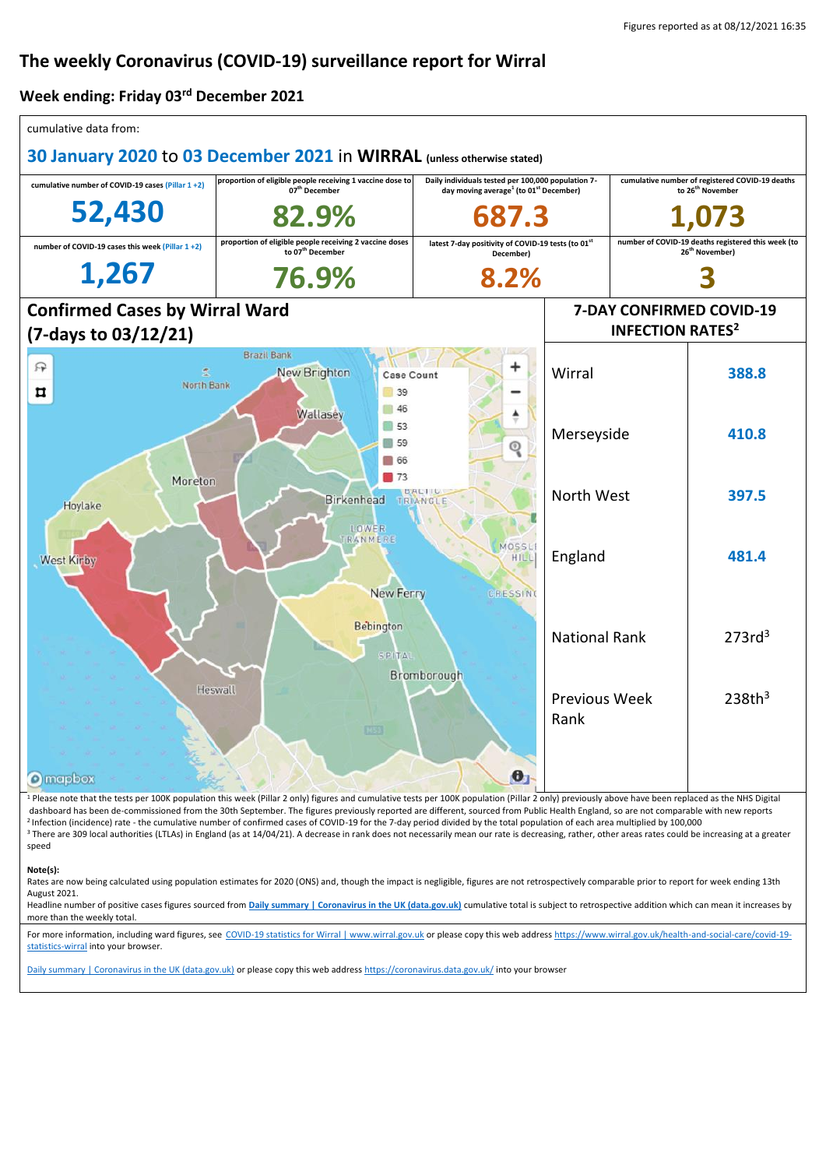## **The weekly Coronavirus (COVID-19) surveillance report for Wirral**

## **Week ending: Friday 03rd December 2021**

| cumulative data from:                                                                                                  |                                                                                                                                                                                                               |                                                                                                                      |                                    |                                                                                  |                    |  |
|------------------------------------------------------------------------------------------------------------------------|---------------------------------------------------------------------------------------------------------------------------------------------------------------------------------------------------------------|----------------------------------------------------------------------------------------------------------------------|------------------------------------|----------------------------------------------------------------------------------|--------------------|--|
| 30 January 2020 to 03 December 2021 in WIRRAL (unless otherwise stated)                                                |                                                                                                                                                                                                               |                                                                                                                      |                                    |                                                                                  |                    |  |
| cumulative number of COVID-19 cases (Pillar 1+2)                                                                       | proportion of eligible people receiving 1 vaccine dose to<br>07 <sup>th</sup> December                                                                                                                        | Daily individuals tested per 100,000 population 7-<br>day moving average <sup>1</sup> (to 01 <sup>st</sup> December) |                                    | cumulative number of registered COVID-19 deaths<br>to 26 <sup>th</sup> November  |                    |  |
| 52,430                                                                                                                 | 82.9%                                                                                                                                                                                                         |                                                                                                                      |                                    |                                                                                  |                    |  |
| number of COVID-19 cases this week (Pillar 1+2)                                                                        | proportion of eligible people receiving 2 vaccine doses<br>to 07 <sup>th</sup> December                                                                                                                       | latest 7-day positivity of COVID-19 tests (to 01st<br>December)                                                      |                                    | number of COVID-19 deaths registered this week (to<br>26 <sup>th</sup> November) |                    |  |
| 1,267                                                                                                                  | 76.9%                                                                                                                                                                                                         | 8.2%                                                                                                                 |                                    |                                                                                  |                    |  |
| <b>Confirmed Cases by Wirral Ward</b>                                                                                  |                                                                                                                                                                                                               |                                                                                                                      | 7-DAY CONFIRMED COVID-19           |                                                                                  |                    |  |
| (7-days to 03/12/21)                                                                                                   |                                                                                                                                                                                                               |                                                                                                                      | <b>INFECTION RATES<sup>2</sup></b> |                                                                                  |                    |  |
| 曱<br>North Bank<br>Ħ                                                                                                   | <b>Brazil Bank</b><br>New Brighton<br>Case Count<br>39                                                                                                                                                        |                                                                                                                      | Wirral                             |                                                                                  | 388.8              |  |
| 46<br>Wallasey<br>$\vert$ 53<br>59<br>66<br>173<br>Moreton<br><b>DALTII</b><br>Birkenhead TRIANGLE<br>Hoylake<br>LOWER |                                                                                                                                                                                                               |                                                                                                                      | Merseyside                         |                                                                                  | 410.8              |  |
|                                                                                                                        |                                                                                                                                                                                                               |                                                                                                                      | North West                         |                                                                                  | 397.5              |  |
| <b>West Kirby</b>                                                                                                      | TRANMERE<br><b>New Ferry</b>                                                                                                                                                                                  | MOSSLI<br><b>HILL</b><br>CRESSING                                                                                    | England                            |                                                                                  | 481.4              |  |
| <b>Bebington</b><br><b>SPITAL</b><br>Bromborough                                                                       |                                                                                                                                                                                                               |                                                                                                                      | <b>National Rank</b>               |                                                                                  | 273rd <sup>3</sup> |  |
| <b>O</b> mapbox                                                                                                        | Heswall<br>6333                                                                                                                                                                                               | Ð                                                                                                                    | Previous Week<br>Rank              |                                                                                  | 238th <sup>3</sup> |  |
|                                                                                                                        | <sup>1</sup> Please note that the tests per 100K population this week (Pillar 2 only) figures and cumulative tests per 100K population (Pillar 2 only) previously above have been replaced as the NHS Digital |                                                                                                                      |                                    |                                                                                  |                    |  |

dashboard has been de-commissioned from the 30th September. The figures previously reported are different, sourced from Public Health England, so are not comparable with new reports <sup>2</sup> Infection (incidence) rate - the cumulative number of confirmed cases of COVID-19 for the 7-day period divided by the total population of each area multiplied by 100,000 <sup>3</sup> There are 309 local authorities (LTLAs) in England (as at 14/04/21). A decrease in rank does not necessarily mean our rate is decreasing, rather, other areas rates could be increasing at a greater speed

## **Note(s):**

Rates are now being calculated using population estimates for 2020 (ONS) and, though the impact is negligible, figures are not retrospectively comparable prior to report for week ending 13th August 2021.

Headline number of positive cases figures sourced from [Daily summary | Coronavirus in the UK \(data.gov.uk\)](https://coronavirus.data.gov.uk/) cumulative total is subject to retrospective addition which can mean it increases by more than the weekly total.

For more information, including ward figures, see [COVID-19 statistics for Wirral | www.wirral.gov.uk](https://www.wirral.gov.uk/health-and-social-care/covid-19-statistics-wirral) or please copy this web addres[s https://www.wirral.gov.uk/health-and-social-care/covid-19](https://www.wirral.gov.uk/health-and-social-care/covid-19-statistics-wirral) [statistics-wirral](https://www.wirral.gov.uk/health-and-social-care/covid-19-statistics-wirral) into your browser.

[Daily summary | Coronavirus in the UK \(data.gov.uk\)](https://coronavirus.data.gov.uk/) or please copy this web addres[s https://coronavirus.data.gov.uk/](https://coronavirus.data.gov.uk/) into your browser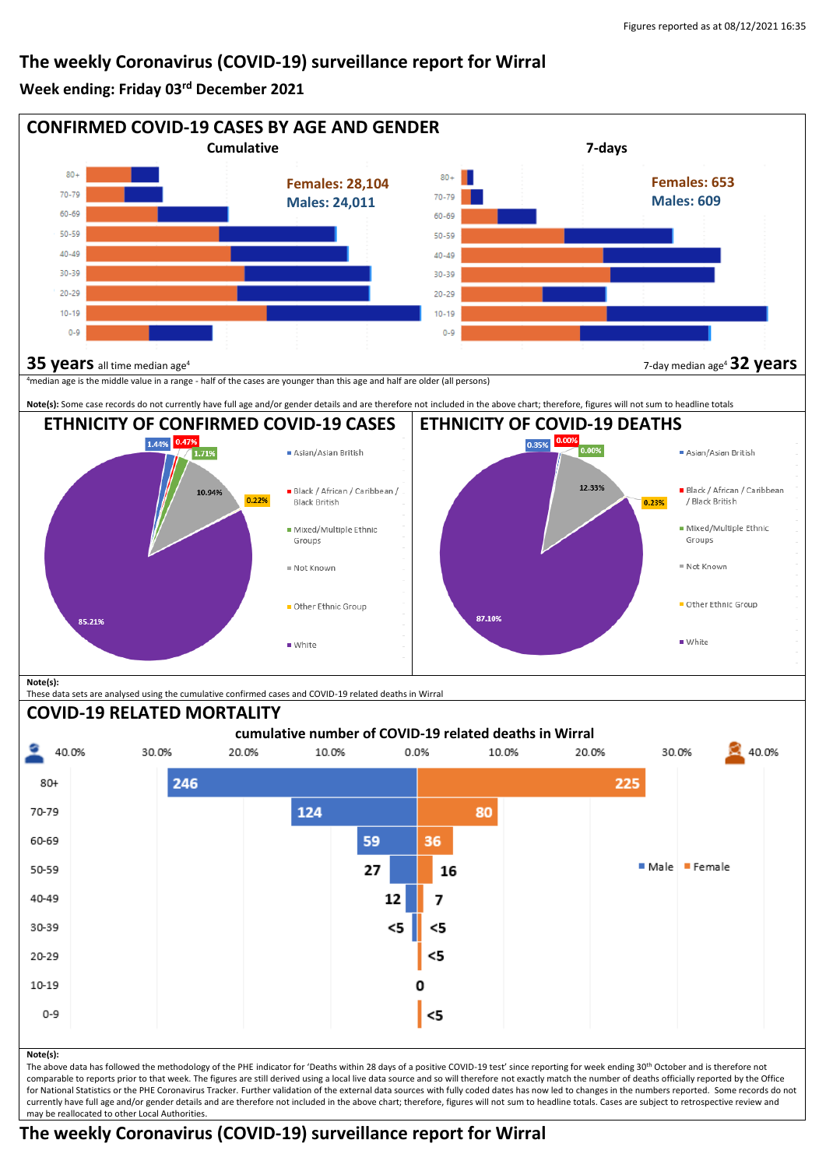## **The weekly Coronavirus (COVID-19) surveillance report for Wirral**

**Week ending: Friday 03rd December 2021**



comparable to reports prior to that week. The figures are still derived using a local live data source and so will therefore not exactly match the number of deaths officially reported by the Office for National Statistics or the PHE Coronavirus Tracker. Further validation of the external data sources with fully coded dates has now led to changes in the numbers reported. Some records do not currently have full age and/or gender details and are therefore not included in the above chart; therefore, figures will not sum to headline totals. Cases are subject to retrospective review and may be reallocated to other Local Authorities.